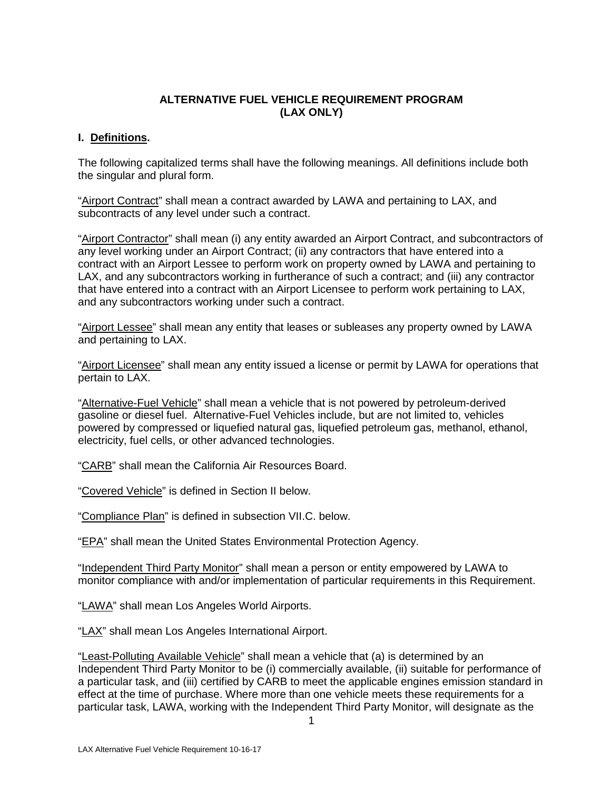### **ALTERNATIVE FUEL VEHICLE REQUIREMENT PROGRAM (LAX ONLY)**

## **I. Definitions.**

The following capitalized terms shall have the following meanings. All definitions include both the singular and plural form.

"Airport Contract" shall mean a contract awarded by LAWA and pertaining to LAX, and subcontracts of any level under such a contract.

"Airport Contractor" shall mean (i) any entity awarded an Airport Contract, and subcontractors of any level working under an Airport Contract; (ii) any contractors that have entered into a contract with an Airport Lessee to perform work on property owned by LAWA and pertaining to LAX, and any subcontractors working in furtherance of such a contract; and (iii) any contractor that have entered into a contract with an Airport Licensee to perform work pertaining to LAX, and any subcontractors working under such a contract.

"Airport Lessee" shall mean any entity that leases or subleases any property owned by LAWA and pertaining to LAX.

"Airport Licensee" shall mean any entity issued a license or permit by LAWA for operations that pertain to LAX.

"Alternative-Fuel Vehicle" shall mean a vehicle that is not powered by petroleum-derived gasoline or diesel fuel. Alternative-Fuel Vehicles include, but are not limited to, vehicles powered by compressed or liquefied natural gas, liquefied petroleum gas, methanol, ethanol, electricity, fuel cells, or other advanced technologies.

"CARB" shall mean the California Air Resources Board.

"Covered Vehicle" is defined in Section II below.

"Compliance Plan" is defined in subsection VII.C. below.

"EPA" shall mean the United States Environmental Protection Agency.

"Independent Third Party Monitor" shall mean a person or entity empowered by LAWA to monitor compliance with and/or implementation of particular requirements in this Requirement.

"LAWA" shall mean Los Angeles World Airports.

"LAX" shall mean Los Angeles International Airport.

"Least-Polluting Available Vehicle" shall mean a vehicle that (a) is determined by an Independent Third Party Monitor to be (i) commercially available, (ii) suitable for performance of a particular task, and (iii) certified by CARB to meet the applicable engines emission standard in effect at the time of purchase. Where more than one vehicle meets these requirements for a particular task, LAWA, working with the Independent Third Party Monitor, will designate as the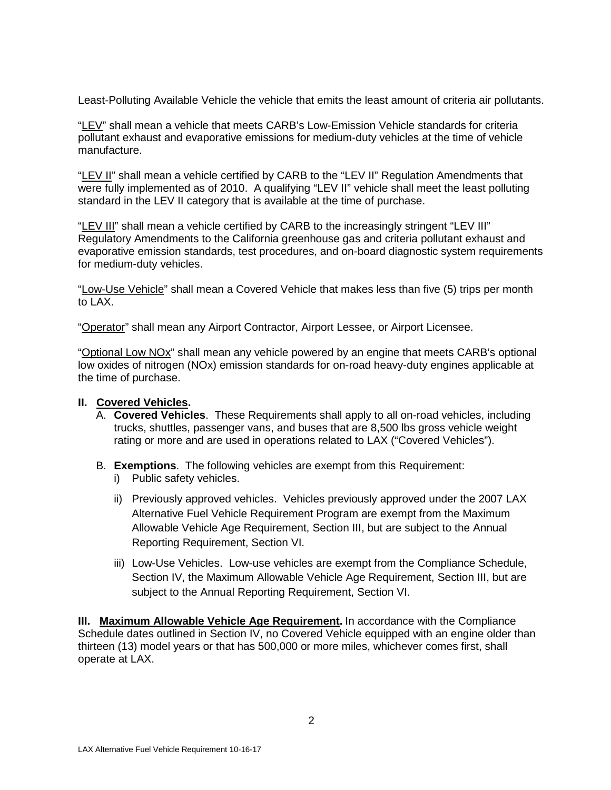Least-Polluting Available Vehicle the vehicle that emits the least amount of criteria air pollutants.

"LEV" shall mean a vehicle that meets CARB's Low-Emission Vehicle standards for criteria pollutant exhaust and evaporative emissions for medium-duty vehicles at the time of vehicle manufacture.

"LEV II" shall mean a vehicle certified by CARB to the "LEV II" Regulation Amendments that were fully implemented as of 2010. A qualifying "LEV II" vehicle shall meet the least polluting standard in the LEV II category that is available at the time of purchase.

"LEV III" shall mean a vehicle certified by CARB to the increasingly stringent "LEV III" Regulatory Amendments to the California greenhouse gas and criteria pollutant exhaust and evaporative emission standards, test procedures, and on-board diagnostic system requirements for medium-duty vehicles.

"Low-Use Vehicle" shall mean a Covered Vehicle that makes less than five (5) trips per month to LAX.

"Operator" shall mean any Airport Contractor, Airport Lessee, or Airport Licensee.

"Optional Low NOx" shall mean any vehicle powered by an engine that meets CARB's optional low oxides of nitrogen (NOx) emission standards for on-road heavy-duty engines applicable at the time of purchase.

### **II. Covered Vehicles.**

- A. **Covered Vehicles**. These Requirements shall apply to all on-road vehicles, including trucks, shuttles, passenger vans, and buses that are 8,500 lbs gross vehicle weight rating or more and are used in operations related to LAX ("Covered Vehicles").
- B. **Exemptions**. The following vehicles are exempt from this Requirement:
	- i) Public safety vehicles.
	- ii) Previously approved vehicles. Vehicles previously approved under the 2007 LAX Alternative Fuel Vehicle Requirement Program are exempt from the Maximum Allowable Vehicle Age Requirement, Section III, but are subject to the Annual Reporting Requirement, Section VI.
	- iii) Low-Use Vehicles. Low-use vehicles are exempt from the Compliance Schedule, Section IV, the Maximum Allowable Vehicle Age Requirement, Section III, but are subject to the Annual Reporting Requirement, Section VI.

**III. Maximum Allowable Vehicle Age Requirement.** In accordance with the Compliance Schedule dates outlined in Section IV, no Covered Vehicle equipped with an engine older than thirteen (13) model years or that has 500,000 or more miles, whichever comes first, shall operate at LAX.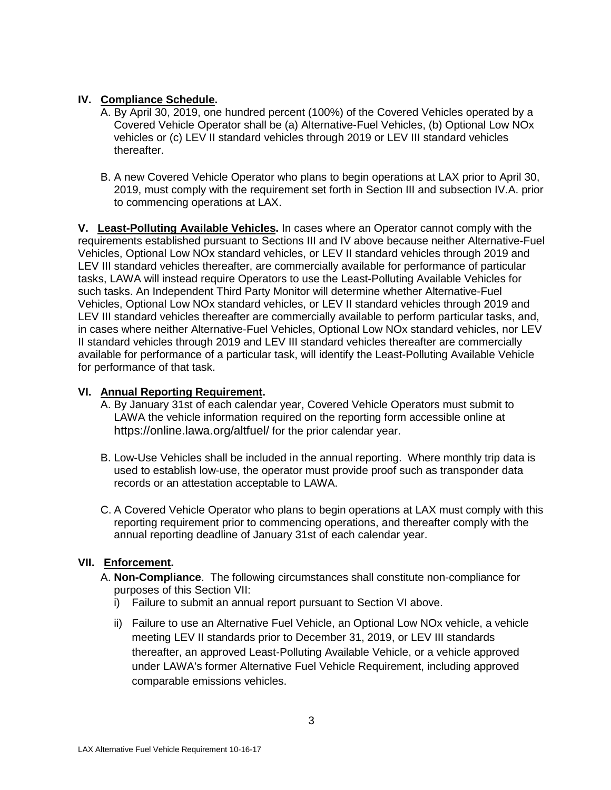# **IV. Compliance Schedule.**

- A. By April 30, 2019, one hundred percent (100%) of the Covered Vehicles operated by a Covered Vehicle Operator shall be (a) Alternative-Fuel Vehicles, (b) Optional Low NOx vehicles or (c) LEV II standard vehicles through 2019 or LEV III standard vehicles thereafter.
- B. A new Covered Vehicle Operator who plans to begin operations at LAX prior to April 30, 2019, must comply with the requirement set forth in Section III and subsection IV.A. prior to commencing operations at LAX.

**V. Least-Polluting Available Vehicles.** In cases where an Operator cannot comply with the requirements established pursuant to Sections III and IV above because neither Alternative-Fuel Vehicles, Optional Low NOx standard vehicles, or LEV II standard vehicles through 2019 and LEV III standard vehicles thereafter, are commercially available for performance of particular tasks, LAWA will instead require Operators to use the Least-Polluting Available Vehicles for such tasks. An Independent Third Party Monitor will determine whether Alternative-Fuel Vehicles, Optional Low NOx standard vehicles, or LEV II standard vehicles through 2019 and LEV III standard vehicles thereafter are commercially available to perform particular tasks, and, in cases where neither Alternative-Fuel Vehicles, Optional Low NOx standard vehicles, nor LEV II standard vehicles through 2019 and LEV III standard vehicles thereafter are commercially available for performance of a particular task, will identify the Least-Polluting Available Vehicle for performance of that task.

## **VI. Annual Reporting Requirement.**

- A. By January 31st of each calendar year, Covered Vehicle Operators must submit to LAWA the vehicle information required on the reporting form accessible online at <https://online.lawa.org/altfuel/> for the prior calendar year.
- B. Low-Use Vehicles shall be included in the annual reporting. Where monthly trip data is used to establish low-use, the operator must provide proof such as transponder data records or an attestation acceptable to LAWA.
- C. A Covered Vehicle Operator who plans to begin operations at LAX must comply with this reporting requirement prior to commencing operations, and thereafter comply with the annual reporting deadline of January 31st of each calendar year.

# **VII. Enforcement.**

- A. **Non-Compliance**. The following circumstances shall constitute non-compliance for purposes of this Section VII:
	- i) Failure to submit an annual report pursuant to Section VI above.
	- ii) Failure to use an Alternative Fuel Vehicle, an Optional Low NOx vehicle, a vehicle meeting LEV II standards prior to December 31, 2019, or LEV III standards thereafter, an approved Least-Polluting Available Vehicle, or a vehicle approved under LAWA's former Alternative Fuel Vehicle Requirement, including approved comparable emissions vehicles.